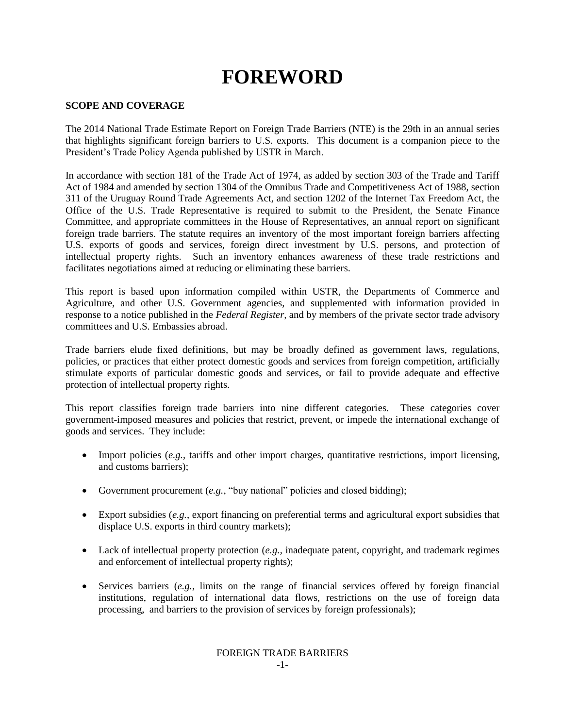# **FOREWORD**

## **SCOPE AND COVERAGE**

The 2014 National Trade Estimate Report on Foreign Trade Barriers (NTE) is the 29th in an annual series that highlights significant foreign barriers to U.S. exports. This document is a companion piece to the President's Trade Policy Agenda published by USTR in March.

In accordance with section 181 of the Trade Act of 1974, as added by section 303 of the Trade and Tariff Act of 1984 and amended by section 1304 of the Omnibus Trade and Competitiveness Act of 1988, section 311 of the Uruguay Round Trade Agreements Act, and section 1202 of the Internet Tax Freedom Act, the Office of the U.S. Trade Representative is required to submit to the President, the Senate Finance Committee, and appropriate committees in the House of Representatives, an annual report on significant foreign trade barriers. The statute requires an inventory of the most important foreign barriers affecting U.S. exports of goods and services, foreign direct investment by U.S. persons, and protection of intellectual property rights. Such an inventory enhances awareness of these trade restrictions and facilitates negotiations aimed at reducing or eliminating these barriers.

This report is based upon information compiled within USTR, the Departments of Commerce and Agriculture, and other U.S. Government agencies, and supplemented with information provided in response to a notice published in the *Federal Register,* and by members of the private sector trade advisory committees and U.S. Embassies abroad.

Trade barriers elude fixed definitions, but may be broadly defined as government laws, regulations, policies, or practices that either protect domestic goods and services from foreign competition, artificially stimulate exports of particular domestic goods and services, or fail to provide adequate and effective protection of intellectual property rights.

This report classifies foreign trade barriers into nine different categories. These categories cover government-imposed measures and policies that restrict, prevent, or impede the international exchange of goods and services. They include:

- Import policies (*e.g.*, tariffs and other import charges, quantitative restrictions, import licensing, and customs barriers);
- Government procurement (*e.g.*, "buy national" policies and closed bidding);
- Export subsidies (*e.g.*, export financing on preferential terms and agricultural export subsidies that displace U.S. exports in third country markets);
- Lack of intellectual property protection (*e.g.*, inadequate patent, copyright, and trademark regimes and enforcement of intellectual property rights);
- Services barriers (*e.g.*, limits on the range of financial services offered by foreign financial institutions, regulation of international data flows, restrictions on the use of foreign data processing, and barriers to the provision of services by foreign professionals);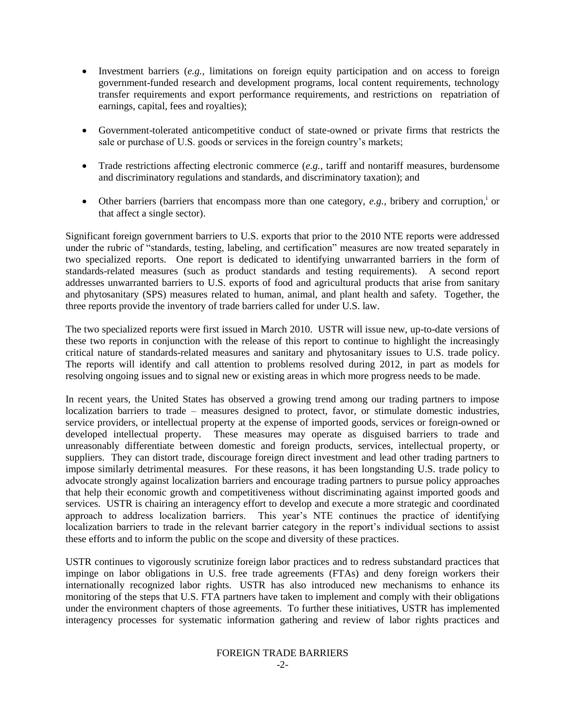- Investment barriers (*e.g.*, limitations on foreign equity participation and on access to foreign government-funded research and development programs, local content requirements, technology transfer requirements and export performance requirements, and restrictions on repatriation of earnings, capital, fees and royalties);
- Government-tolerated anticompetitive conduct of state-owned or private firms that restricts the sale or purchase of U.S. goods or services in the foreign country's markets;
- Trade restrictions affecting electronic commerce (*e.g.*, tariff and nontariff measures, burdensome and discriminatory regulations and standards, and discriminatory taxation); and
- $\bullet$  Other barriers (barriers that encompass more than one category, *e.g.*, bribery and corruption,<sup>i</sup> or that affect a single sector).

Significant foreign government barriers to U.S. exports that prior to the 2010 NTE reports were addressed under the rubric of "standards, testing, labeling, and certification" measures are now treated separately in two specialized reports. One report is dedicated to identifying unwarranted barriers in the form of standards-related measures (such as product standards and testing requirements). A second report addresses unwarranted barriers to U.S. exports of food and agricultural products that arise from sanitary and phytosanitary (SPS) measures related to human, animal, and plant health and safety. Together, the three reports provide the inventory of trade barriers called for under U.S. law.

The two specialized reports were first issued in March 2010. USTR will issue new, up-to-date versions of these two reports in conjunction with the release of this report to continue to highlight the increasingly critical nature of standards-related measures and sanitary and phytosanitary issues to U.S. trade policy. The reports will identify and call attention to problems resolved during 2012, in part as models for resolving ongoing issues and to signal new or existing areas in which more progress needs to be made.

In recent years, the United States has observed a growing trend among our trading partners to impose localization barriers to trade – measures designed to protect, favor, or stimulate domestic industries, service providers, or intellectual property at the expense of imported goods, services or foreign-owned or developed intellectual property. These measures may operate as disguised barriers to trade and unreasonably differentiate between domestic and foreign products, services, intellectual property, or suppliers. They can distort trade, discourage foreign direct investment and lead other trading partners to impose similarly detrimental measures. For these reasons, it has been longstanding U.S. trade policy to advocate strongly against localization barriers and encourage trading partners to pursue policy approaches that help their economic growth and competitiveness without discriminating against imported goods and services. USTR is chairing an interagency effort to develop and execute a more strategic and coordinated approach to address localization barriers. This year's NTE continues the practice of identifying localization barriers to trade in the relevant barrier category in the report's individual sections to assist these efforts and to inform the public on the scope and diversity of these practices.

USTR continues to vigorously scrutinize foreign labor practices and to redress substandard practices that impinge on labor obligations in U.S. free trade agreements (FTAs) and deny foreign workers their internationally recognized labor rights. USTR has also introduced new mechanisms to enhance its monitoring of the steps that U.S. FTA partners have taken to implement and comply with their obligations under the environment chapters of those agreements. To further these initiatives, USTR has implemented interagency processes for systematic information gathering and review of labor rights practices and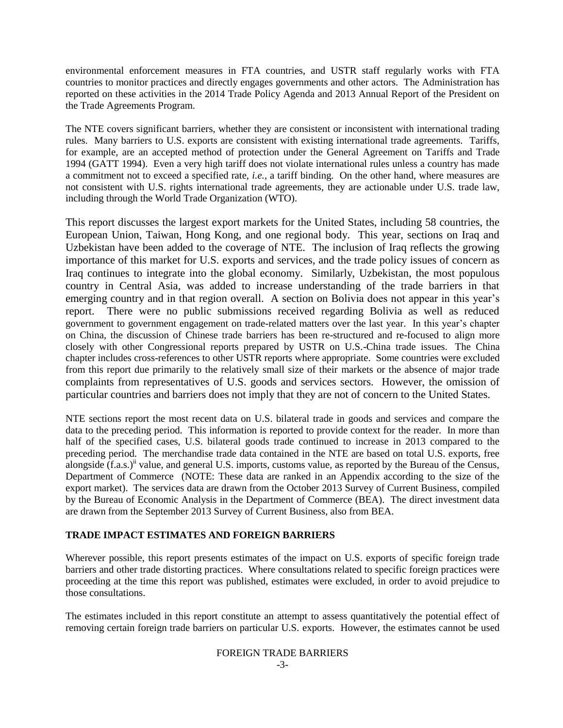environmental enforcement measures in FTA countries, and USTR staff regularly works with FTA countries to monitor practices and directly engages governments and other actors. The Administration has reported on these activities in the 2014 Trade Policy Agenda and 2013 Annual Report of the President on the Trade Agreements Program.

The NTE covers significant barriers, whether they are consistent or inconsistent with international trading rules. Many barriers to U.S. exports are consistent with existing international trade agreements. Tariffs, for example, are an accepted method of protection under the General Agreement on Tariffs and Trade 1994 (GATT 1994). Even a very high tariff does not violate international rules unless a country has made a commitment not to exceed a specified rate, *i.e.,* a tariff binding. On the other hand, where measures are not consistent with U.S. rights international trade agreements, they are actionable under U.S. trade law, including through the World Trade Organization (WTO).

This report discusses the largest export markets for the United States, including 58 countries, the European Union, Taiwan, Hong Kong, and one regional body. This year, sections on Iraq and Uzbekistan have been added to the coverage of NTE. The inclusion of Iraq reflects the growing importance of this market for U.S. exports and services, and the trade policy issues of concern as Iraq continues to integrate into the global economy. Similarly, Uzbekistan, the most populous country in Central Asia, was added to increase understanding of the trade barriers in that emerging country and in that region overall. A section on Bolivia does not appear in this year's report. There were no public submissions received regarding Bolivia as well as reduced government to government engagement on trade-related matters over the last year. In this year's chapter on China, the discussion of Chinese trade barriers has been re-structured and re-focused to align more closely with other Congressional reports prepared by USTR on U.S.-China trade issues. The China chapter includes cross-references to other USTR reports where appropriate. Some countries were excluded from this report due primarily to the relatively small size of their markets or the absence of major trade complaints from representatives of U.S. goods and services sectors. However, the omission of particular countries and barriers does not imply that they are not of concern to the United States.

NTE sections report the most recent data on U.S. bilateral trade in goods and services and compare the data to the preceding period. This information is reported to provide context for the reader. In more than half of the specified cases, U.S. bilateral goods trade continued to increase in 2013 compared to the preceding period. The merchandise trade data contained in the NTE are based on total U.S. exports, free alongside  $(f.a.s.)^{\text{ii}}$  value, and general U.S. imports, customs value, as reported by the Bureau of the Census, Department of Commerce (NOTE: These data are ranked in an Appendix according to the size of the export market). The services data are drawn from the October 2013 Survey of Current Business, compiled by the Bureau of Economic Analysis in the Department of Commerce (BEA). The direct investment data are drawn from the September 2013 Survey of Current Business, also from BEA.

## **TRADE IMPACT ESTIMATES AND FOREIGN BARRIERS**

Wherever possible, this report presents estimates of the impact on U.S. exports of specific foreign trade barriers and other trade distorting practices. Where consultations related to specific foreign practices were proceeding at the time this report was published, estimates were excluded, in order to avoid prejudice to those consultations.

The estimates included in this report constitute an attempt to assess quantitatively the potential effect of removing certain foreign trade barriers on particular U.S. exports. However, the estimates cannot be used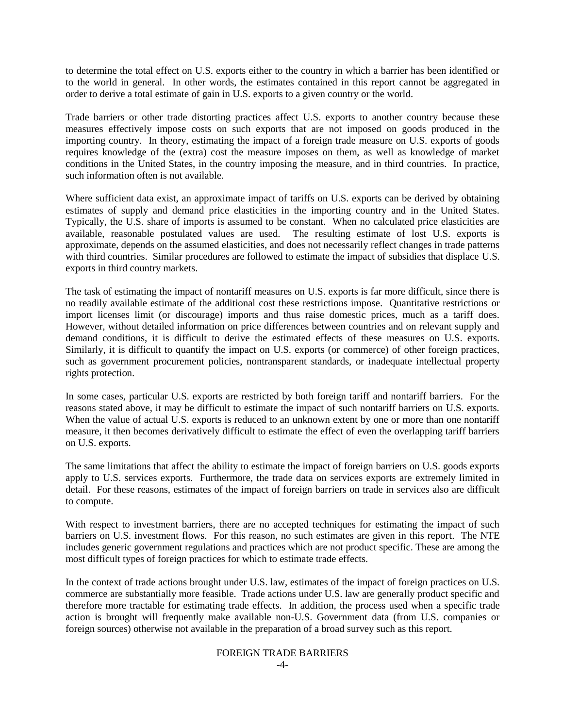to determine the total effect on U.S. exports either to the country in which a barrier has been identified or to the world in general. In other words, the estimates contained in this report cannot be aggregated in order to derive a total estimate of gain in U.S. exports to a given country or the world.

Trade barriers or other trade distorting practices affect U.S. exports to another country because these measures effectively impose costs on such exports that are not imposed on goods produced in the importing country. In theory, estimating the impact of a foreign trade measure on U.S. exports of goods requires knowledge of the (extra) cost the measure imposes on them, as well as knowledge of market conditions in the United States, in the country imposing the measure, and in third countries. In practice, such information often is not available.

Where sufficient data exist, an approximate impact of tariffs on U.S. exports can be derived by obtaining estimates of supply and demand price elasticities in the importing country and in the United States. Typically, the U.S. share of imports is assumed to be constant. When no calculated price elasticities are available, reasonable postulated values are used. The resulting estimate of lost U.S. exports is approximate, depends on the assumed elasticities, and does not necessarily reflect changes in trade patterns with third countries. Similar procedures are followed to estimate the impact of subsidies that displace U.S. exports in third country markets.

The task of estimating the impact of nontariff measures on U.S. exports is far more difficult, since there is no readily available estimate of the additional cost these restrictions impose. Quantitative restrictions or import licenses limit (or discourage) imports and thus raise domestic prices, much as a tariff does. However, without detailed information on price differences between countries and on relevant supply and demand conditions, it is difficult to derive the estimated effects of these measures on U.S. exports. Similarly, it is difficult to quantify the impact on U.S. exports (or commerce) of other foreign practices, such as government procurement policies, nontransparent standards, or inadequate intellectual property rights protection.

In some cases, particular U.S. exports are restricted by both foreign tariff and nontariff barriers. For the reasons stated above, it may be difficult to estimate the impact of such nontariff barriers on U.S. exports. When the value of actual U.S. exports is reduced to an unknown extent by one or more than one nontariff measure, it then becomes derivatively difficult to estimate the effect of even the overlapping tariff barriers on U.S. exports.

The same limitations that affect the ability to estimate the impact of foreign barriers on U.S. goods exports apply to U.S. services exports. Furthermore, the trade data on services exports are extremely limited in detail. For these reasons, estimates of the impact of foreign barriers on trade in services also are difficult to compute.

With respect to investment barriers, there are no accepted techniques for estimating the impact of such barriers on U.S. investment flows. For this reason, no such estimates are given in this report. The NTE includes generic government regulations and practices which are not product specific. These are among the most difficult types of foreign practices for which to estimate trade effects.

In the context of trade actions brought under U.S. law, estimates of the impact of foreign practices on U.S. commerce are substantially more feasible. Trade actions under U.S. law are generally product specific and therefore more tractable for estimating trade effects. In addition, the process used when a specific trade action is brought will frequently make available non-U.S. Government data (from U.S. companies or foreign sources) otherwise not available in the preparation of a broad survey such as this report.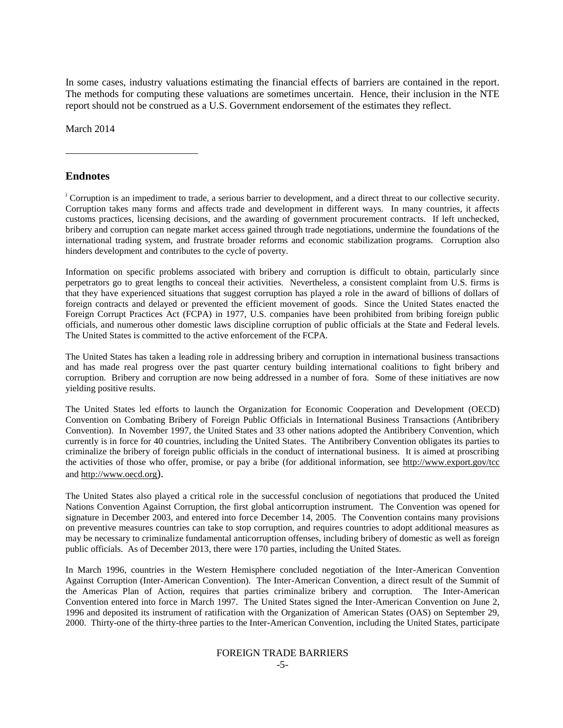In some cases, industry valuations estimating the financial effects of barriers are contained in the report. The methods for computing these valuations are sometimes uncertain. Hence, their inclusion in the NTE report should not be construed as a U.S. Government endorsement of the estimates they reflect.

March 2014

### **Endnotes**

 $\overline{a}$ 

<sup>i</sup> Corruption is an impediment to trade, a serious barrier to development, and a direct threat to our collective security. Corruption takes many forms and affects trade and development in different ways. In many countries, it affects customs practices, licensing decisions, and the awarding of government procurement contracts. If left unchecked, bribery and corruption can negate market access gained through trade negotiations, undermine the foundations of the international trading system, and frustrate broader reforms and economic stabilization programs. Corruption also hinders development and contributes to the cycle of poverty.

Information on specific problems associated with bribery and corruption is difficult to obtain, particularly since perpetrators go to great lengths to conceal their activities. Nevertheless, a consistent complaint from U.S. firms is that they have experienced situations that suggest corruption has played a role in the award of billions of dollars of foreign contracts and delayed or prevented the efficient movement of goods. Since the United States enacted the Foreign Corrupt Practices Act (FCPA) in 1977, U.S. companies have been prohibited from bribing foreign public officials, and numerous other domestic laws discipline corruption of public officials at the State and Federal levels. The United States is committed to the active enforcement of the FCPA.

The United States has taken a leading role in addressing bribery and corruption in international business transactions and has made real progress over the past quarter century building international coalitions to fight bribery and corruption. Bribery and corruption are now being addressed in a number of fora. Some of these initiatives are now yielding positive results.

The United States led efforts to launch the Organization for Economic Cooperation and Development (OECD) Convention on Combating Bribery of Foreign Public Officials in International Business Transactions (Antibribery Convention). In November 1997, the United States and 33 other nations adopted the Antibribery Convention, which currently is in force for 40 countries, including the United States. The Antibribery Convention obligates its parties to criminalize the bribery of foreign public officials in the conduct of international business. It is aimed at proscribing the activities of those who offer, promise, or pay a bribe (for additional information, see http:/[/www.export.gov/tcc](http://www.export.gov/tcc) and [http://www.oecd.org](http://www.oecd.org/)).

The United States also played a critical role in the successful conclusion of negotiations that produced the United Nations Convention Against Corruption, the first global anticorruption instrument. The Convention was opened for signature in December 2003, and entered into force December 14, 2005. The Convention contains many provisions on preventive measures countries can take to stop corruption, and requires countries to adopt additional measures as may be necessary to criminalize fundamental anticorruption offenses, including bribery of domestic as well as foreign public officials. As of December 2013, there were 170 parties, including the United States.

In March 1996, countries in the Western Hemisphere concluded negotiation of the Inter-American Convention Against Corruption (Inter-American Convention). The Inter-American Convention, a direct result of the Summit of the Americas Plan of Action, requires that parties criminalize bribery and corruption. The Inter-American Convention entered into force in March 1997. The United States signed the Inter-American Convention on June 2, 1996 and deposited its instrument of ratification with the Organization of American States (OAS) on September 29, 2000. Thirty-one of the thirty-three parties to the Inter-American Convention, including the United States, participate